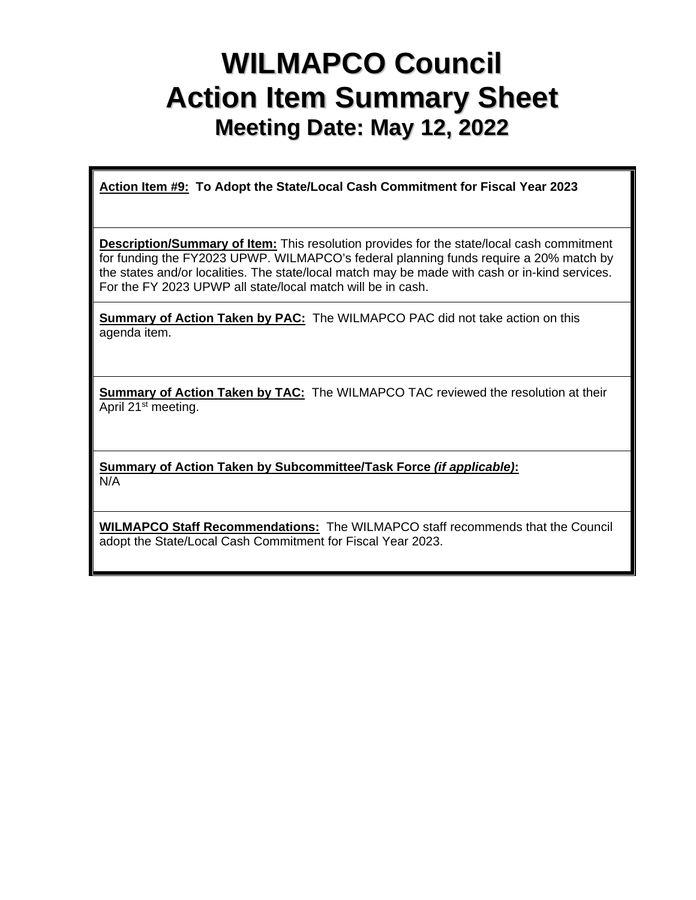## **WILMAPCO Council Action Item Summary Sheet Meeting Date: May 12, 2022**

**Action Item #9: To Adopt the State/Local Cash Commitment for Fiscal Year 2023** 

**Description/Summary of Item:** This resolution provides for the state/local cash commitment for funding the FY2023 UPWP. WILMAPCO's federal planning funds require a 20% match by the states and/or localities. The state/local match may be made with cash or in-kind services. For the FY 2023 UPWP all state/local match will be in cash.

**Summary of Action Taken by PAC:** The WILMAPCO PAC did not take action on this agenda item.

**Summary of Action Taken by TAC:** The WILMAPCO TAC reviewed the resolution at their April 21st meeting.

**Summary of Action Taken by Subcommittee/Task Force** *(if applicable)***:** N/A

**WILMAPCO Staff Recommendations:** The WILMAPCO staff recommends that the Council adopt the State/Local Cash Commitment for Fiscal Year 2023.